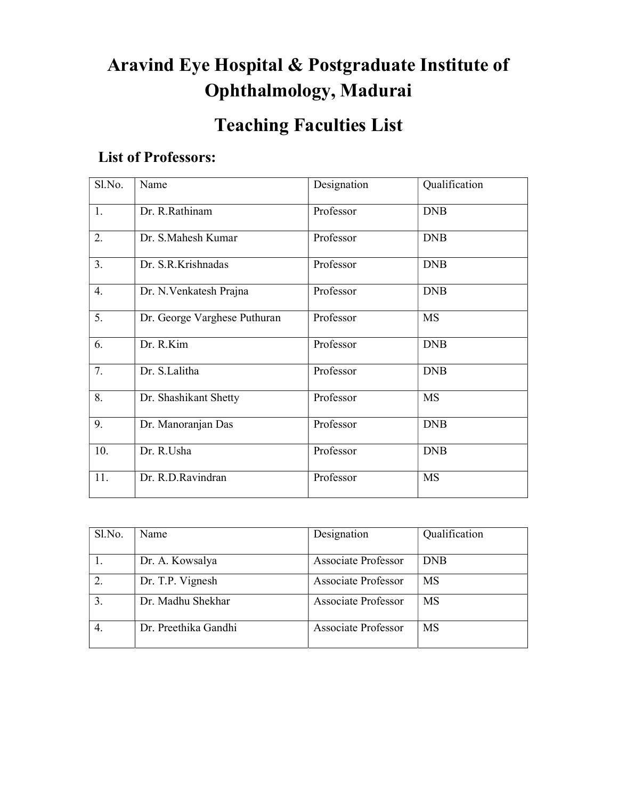# Aravind Eye Hospital & Postgraduate Institute of Ophthalmology, Madurai

## Teaching Faculties List

#### List of Professors:

| Sl.No. | Name                         | Designation | Qualification |
|--------|------------------------------|-------------|---------------|
| 1.     | Dr. R.Rathinam               | Professor   | <b>DNB</b>    |
| 2.     | Dr. S.Mahesh Kumar           | Professor   | <b>DNB</b>    |
| 3.     | Dr. S.R.Krishnadas           | Professor   | <b>DNB</b>    |
| 4.     | Dr. N. Venkatesh Prajna      | Professor   | <b>DNB</b>    |
| 5.     | Dr. George Varghese Puthuran | Professor   | <b>MS</b>     |
| 6.     | Dr. R.Kim                    | Professor   | <b>DNB</b>    |
| 7.     | Dr. S.Lalitha                | Professor   | <b>DNB</b>    |
| 8.     | Dr. Shashikant Shetty        | Professor   | <b>MS</b>     |
| 9.     | Dr. Manoranjan Das           | Professor   | <b>DNB</b>    |
| 10.    | Dr. R.Usha                   | Professor   | <b>DNB</b>    |
| 11.    | Dr. R.D.Ravindran            | Professor   | MS            |

| Sl.No. | Name                 | Designation                | Qualification |
|--------|----------------------|----------------------------|---------------|
|        | Dr. A. Kowsalya      | Associate Professor        | <b>DNB</b>    |
| 2.     | Dr. T.P. Vignesh     | Associate Professor        | <b>MS</b>     |
| 3.     | Dr. Madhu Shekhar    | <b>Associate Professor</b> | MS            |
|        | Dr. Preethika Gandhi | Associate Professor        | MS            |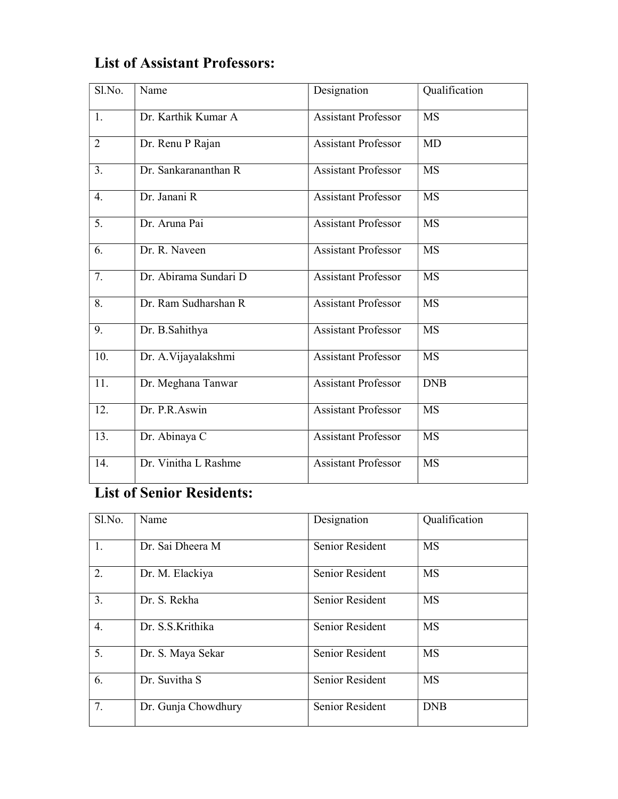| Sl.No.         | Name                  | Designation                | Qualification |
|----------------|-----------------------|----------------------------|---------------|
|                |                       |                            |               |
| 1.             | Dr. Karthik Kumar A   | <b>Assistant Professor</b> | MS            |
| $\overline{2}$ | Dr. Renu P Rajan      | <b>Assistant Professor</b> | MD            |
| 3.             | Dr. Sankarananthan R  | <b>Assistant Professor</b> | <b>MS</b>     |
| 4.             | Dr. Janani R          | <b>Assistant Professor</b> | <b>MS</b>     |
| 5.             | Dr. Aruna Pai         | <b>Assistant Professor</b> | <b>MS</b>     |
| 6.             | Dr. R. Naveen         | <b>Assistant Professor</b> | <b>MS</b>     |
| 7.             | Dr. Abirama Sundari D | <b>Assistant Professor</b> | <b>MS</b>     |
| 8.             | Dr. Ram Sudharshan R  | <b>Assistant Professor</b> | <b>MS</b>     |
| 9.             | Dr. B.Sahithya        | <b>Assistant Professor</b> | <b>MS</b>     |
| 10.            | Dr. A. Vijayalakshmi  | <b>Assistant Professor</b> | <b>MS</b>     |
| 11.            | Dr. Meghana Tanwar    | <b>Assistant Professor</b> | <b>DNB</b>    |
| 12.            | Dr. P.R.Aswin         | <b>Assistant Professor</b> | <b>MS</b>     |
| 13.            | Dr. Abinaya C         | <b>Assistant Professor</b> | <b>MS</b>     |
| 14.            | Dr. Vinitha L Rashme  | <b>Assistant Professor</b> | <b>MS</b>     |

### List of Assistant Professors:

### List of Senior Residents:

| Sl.No. | Name                | Designation     | Qualification |
|--------|---------------------|-----------------|---------------|
| 1.     | Dr. Sai Dheera M    | Senior Resident | <b>MS</b>     |
| 2.     | Dr. M. Elackiya     | Senior Resident | MS            |
| 3.     | Dr. S. Rekha        | Senior Resident | <b>MS</b>     |
| 4.     | Dr. S.S.Krithika    | Senior Resident | <b>MS</b>     |
| 5.     | Dr. S. Maya Sekar   | Senior Resident | <b>MS</b>     |
| 6.     | Dr. Suvitha S       | Senior Resident | MS            |
| 7.     | Dr. Gunja Chowdhury | Senior Resident | <b>DNB</b>    |